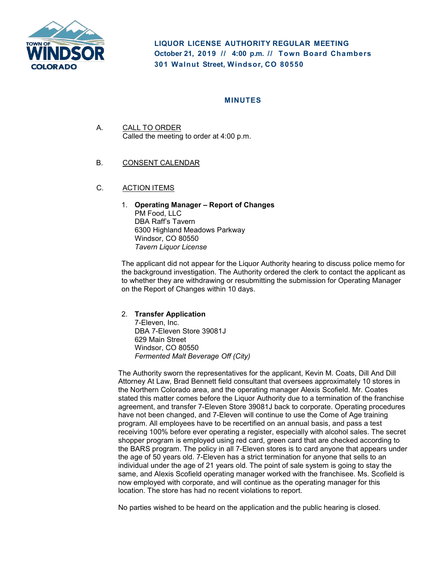

**LIQUOR LICENSE AUTHORITY REGULAR MEETING October 21, 2019 // 4:00 p. m. // Town Board Chambers 301 Walnut Street, Windsor, CO 80550**

## **MINUTES**

A. CALL TO ORDER Called the meeting to order at 4:00 p.m.

### B. CONSENT CALENDAR

- C. ACTION ITEMS
	- 1. **Operating Manager – Report of Changes** PM Food, LLC DBA Raff's Tavern 6300 Highland Meadows Parkway Windsor, CO 80550 *Tavern Liquor License*

The applicant did not appear for the Liquor Authority hearing to discuss police memo for the background investigation. The Authority ordered the clerk to contact the applicant as to whether they are withdrawing or resubmitting the submission for Operating Manager on the Report of Changes within 10 days.

#### 2. **Transfer Application**

7-Eleven, Inc. DBA 7-Eleven Store 39081J 629 Main Street Windsor, CO 80550 *Fermented Malt Beverage Off (City)*

The Authority sworn the representatives for the applicant, Kevin M. Coats, Dill And Dill Attorney At Law, Brad Bennett field consultant that oversees approximately 10 stores in the Northern Colorado area, and the operating manager Alexis Scofield. Mr. Coates stated this matter comes before the Liquor Authority due to a termination of the franchise agreement, and transfer 7-Eleven Store 39081J back to corporate. Operating procedures have not been changed, and 7-Eleven will continue to use the Come of Age training program. All employees have to be recertified on an annual basis, and pass a test receiving 100% before ever operating a register, especially with alcohol sales. The secret shopper program is employed using red card, green card that are checked according to the BARS program. The policy in all 7-Eleven stores is to card anyone that appears under the age of 50 years old. 7-Eleven has a strict termination for anyone that sells to an individual under the age of 21 years old. The point of sale system is going to stay the same, and Alexis Scofield operating manager worked with the franchisee. Ms. Scofield is now employed with corporate, and will continue as the operating manager for this location. The store has had no recent violations to report.

No parties wished to be heard on the application and the public hearing is closed.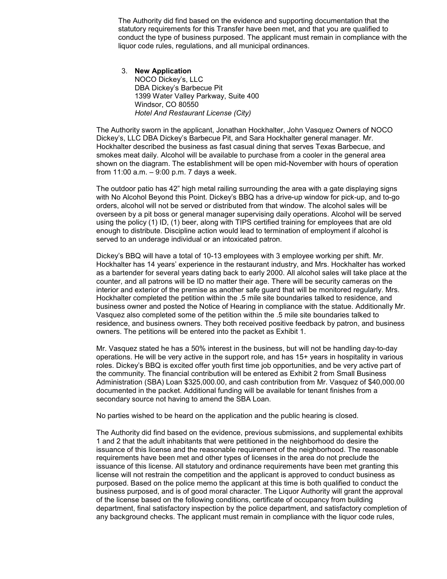The Authority did find based on the evidence and supporting documentation that the statutory requirements for this Transfer have been met, and that you are qualified to conduct the type of business purposed. The applicant must remain in compliance with the liquor code rules, regulations, and all municipal ordinances.

3. **New Application**  NOCO Dickey's, LLC DBA Dickey's Barbecue Pit 1399 Water Valley Parkway, Suite 400 Windsor, CO 80550 *Hotel And Restaurant License (City)*

The Authority sworn in the applicant, Jonathan Hockhalter, John Vasquez Owners of NOCO Dickey's, LLC DBA Dickey's Barbecue Pit, and Sara Hockhalter general manager. Mr. Hockhalter described the business as fast casual dining that serves Texas Barbecue, and smokes meat daily. Alcohol will be available to purchase from a cooler in the general area shown on the diagram. The establishment will be open mid-November with hours of operation from 11:00 a.m. – 9:00 p.m. 7 days a week.

The outdoor patio has 42" high metal railing surrounding the area with a gate displaying signs with No Alcohol Beyond this Point. Dickey's BBQ has a drive-up window for pick-up, and to-go orders, alcohol will not be served or distributed from that window. The alcohol sales will be overseen by a pit boss or general manager supervising daily operations. Alcohol will be served using the policy (1) ID, (1) beer, along with TIPS certified training for employees that are old enough to distribute. Discipline action would lead to termination of employment if alcohol is served to an underage individual or an intoxicated patron.

Dickey's BBQ will have a total of 10-13 employees with 3 employee working per shift. Mr. Hockhalter has 14 years' experience in the restaurant industry, and Mrs. Hockhalter has worked as a bartender for several years dating back to early 2000. All alcohol sales will take place at the counter, and all patrons will be ID no matter their age. There will be security cameras on the interior and exterior of the premise as another safe guard that will be monitored regularly. Mrs. Hockhalter completed the petition within the .5 mile site boundaries talked to residence, and business owner and posted the Notice of Hearing in compliance with the statue. Additionally Mr. Vasquez also completed some of the petition within the .5 mile site boundaries talked to residence, and business owners. They both received positive feedback by patron, and business owners. The petitions will be entered into the packet as Exhibit 1.

Mr. Vasquez stated he has a 50% interest in the business, but will not be handling day-to-day operations. He will be very active in the support role, and has 15+ years in hospitality in various roles. Dickey's BBQ is excited offer youth first time job opportunities, and be very active part of the community. The financial contribution will be entered as Exhibit 2 from Small Business Administration (SBA) Loan \$325,000.00, and cash contribution from Mr. Vasquez of \$40,000.00 documented in the packet. Additional funding will be available for tenant finishes from a secondary source not having to amend the SBA Loan.

No parties wished to be heard on the application and the public hearing is closed.

The Authority did find based on the evidence, previous submissions, and supplemental exhibits 1 and 2 that the adult inhabitants that were petitioned in the neighborhood do desire the issuance of this license and the reasonable requirement of the neighborhood. The reasonable requirements have been met and other types of licenses in the area do not preclude the issuance of this license. All statutory and ordinance requirements have been met granting this license will not restrain the competition and the applicant is approved to conduct business as purposed. Based on the police memo the applicant at this time is both qualified to conduct the business purposed, and is of good moral character. The Liquor Authority will grant the approval of the license based on the following conditions, certificate of occupancy from building department, final satisfactory inspection by the police department, and satisfactory completion of any background checks. The applicant must remain in compliance with the liquor code rules,